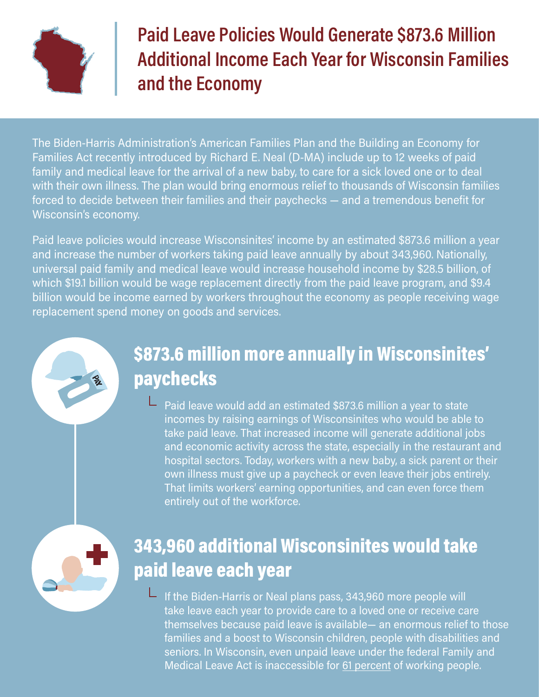

# Paid Leave Policies Would Generate \$873.6 Million Additional Income Each Year for Wisconsin Families and the Economy

The Biden-Harris Administration's American Families Plan and the Building an Economy for Families Act recently introduced by Richard E. Neal (D-MA) include up to 12 weeks of paid family and medical leave for the arrival of a new baby, to care for a sick loved one or to deal with their own illness. The plan would bring enormous relief to thousands of Wisconsin families forced to decide between their families and their paychecks — and a tremendous benefit for Wisconsin's economy.

Paid leave policies would increase Wisconsinites' income by an estimated \$873.6 million a year and increase the number of workers taking paid leave annually by about 343,960. Nationally, universal paid family and medical leave would increase household income by \$28.5 billion, of which \$19.1 billion would be wage replacement directly from the paid leave program, and \$9.4 billion would be income earned by workers throughout the economy as people receiving wage replacement spend money on goods and services.

# \$873.6 million more annually in Wisconsinites' paychecks

L Paid leave would add an estimated \$873.6 million a year to state incomes by raising earnings of Wisconsinites who would be able to take paid leave. That increased income will generate additional jobs and economic activity across the state, especially in the restaurant and hospital sectors. Today, workers with a new baby, a sick parent or their own illness must give up a paycheck or even leave their jobs entirely. That limits workers' earning opportunities, and can even force them entirely out of the workforce.

### 343,960 additional Wisconsinites would take paid leave each year

 $\blacksquare$  If the Biden-Harris or Neal plans pass, 343,960 more people will take leave each year to provide care to a loved one or receive care themselves because paid leave is available— an enormous relief to those families and a boost to Wisconsin children, people with disabilities and seniors. In Wisconsin, even unpaid leave under the federal Family and Medical Leave Act is inaccessible for [61 percent](https://www.nationalpartnership.org/our-work/resources/economic-justice/paid-leave/paid-leave-means-a-stronger-wisconsin.pdf) of working people.